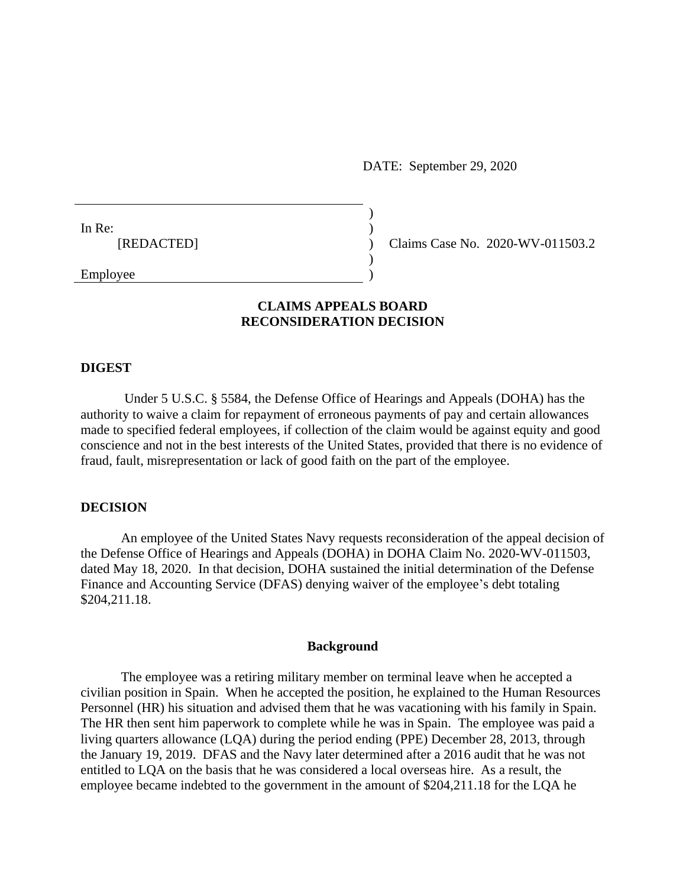DATE: September 29, 2020

In Re:  $\qquad \qquad$ ) [REDACTED] ) Claims Case No. 2020-WV-011503.2

Employee )

## **CLAIMS APPEALS BOARD RECONSIDERATION DECISION**

)

 $\overline{)}$ 

#### **DIGEST**

Under 5 U.S.C. § 5584, the Defense Office of Hearings and Appeals (DOHA) has the authority to waive a claim for repayment of erroneous payments of pay and certain allowances made to specified federal employees, if collection of the claim would be against equity and good conscience and not in the best interests of the United States, provided that there is no evidence of fraud, fault, misrepresentation or lack of good faith on the part of the employee.

### **DECISION**

An employee of the United States Navy requests reconsideration of the appeal decision of the Defense Office of Hearings and Appeals (DOHA) in DOHA Claim No. 2020-WV-011503, dated May 18, 2020. In that decision, DOHA sustained the initial determination of the Defense Finance and Accounting Service (DFAS) denying waiver of the employee's debt totaling \$204,211.18.

#### **Background**

The employee was a retiring military member on terminal leave when he accepted a civilian position in Spain. When he accepted the position, he explained to the Human Resources Personnel (HR) his situation and advised them that he was vacationing with his family in Spain. The HR then sent him paperwork to complete while he was in Spain. The employee was paid a living quarters allowance (LQA) during the period ending (PPE) December 28, 2013, through the January 19, 2019. DFAS and the Navy later determined after a 2016 audit that he was not entitled to LQA on the basis that he was considered a local overseas hire. As a result, the employee became indebted to the government in the amount of \$204,211.18 for the LQA he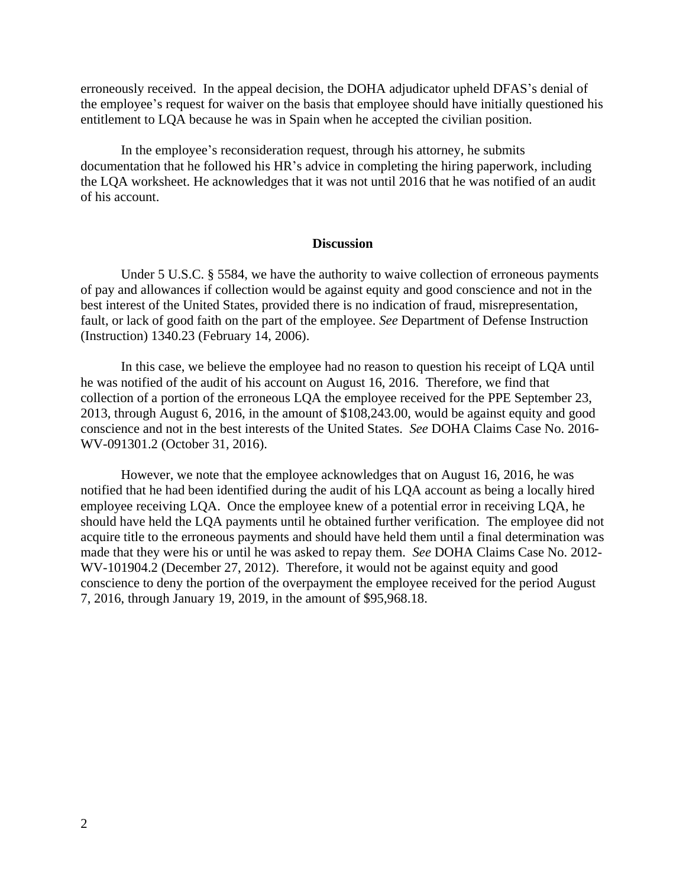erroneously received. In the appeal decision, the DOHA adjudicator upheld DFAS's denial of the employee's request for waiver on the basis that employee should have initially questioned his entitlement to LQA because he was in Spain when he accepted the civilian position.

In the employee's reconsideration request, through his attorney, he submits documentation that he followed his HR's advice in completing the hiring paperwork, including the LQA worksheet. He acknowledges that it was not until 2016 that he was notified of an audit of his account.

#### **Discussion**

Under 5 U.S.C. § 5584, we have the authority to waive collection of erroneous payments of pay and allowances if collection would be against equity and good conscience and not in the best interest of the United States, provided there is no indication of fraud, misrepresentation, fault, or lack of good faith on the part of the employee. *See* Department of Defense Instruction (Instruction) 1340.23 (February 14, 2006).

In this case, we believe the employee had no reason to question his receipt of LQA until he was notified of the audit of his account on August 16, 2016. Therefore, we find that collection of a portion of the erroneous LQA the employee received for the PPE September 23, 2013, through August 6, 2016, in the amount of \$108,243.00, would be against equity and good conscience and not in the best interests of the United States. *See* DOHA Claims Case No. 2016- WV-091301.2 (October 31, 2016).

However, we note that the employee acknowledges that on August 16, 2016, he was notified that he had been identified during the audit of his LQA account as being a locally hired employee receiving LQA. Once the employee knew of a potential error in receiving LQA, he should have held the LQA payments until he obtained further verification. The employee did not acquire title to the erroneous payments and should have held them until a final determination was made that they were his or until he was asked to repay them. *See* DOHA Claims Case No. 2012- WV-101904.2 (December 27, 2012). Therefore, it would not be against equity and good conscience to deny the portion of the overpayment the employee received for the period August 7, 2016, through January 19, 2019, in the amount of \$95,968.18.